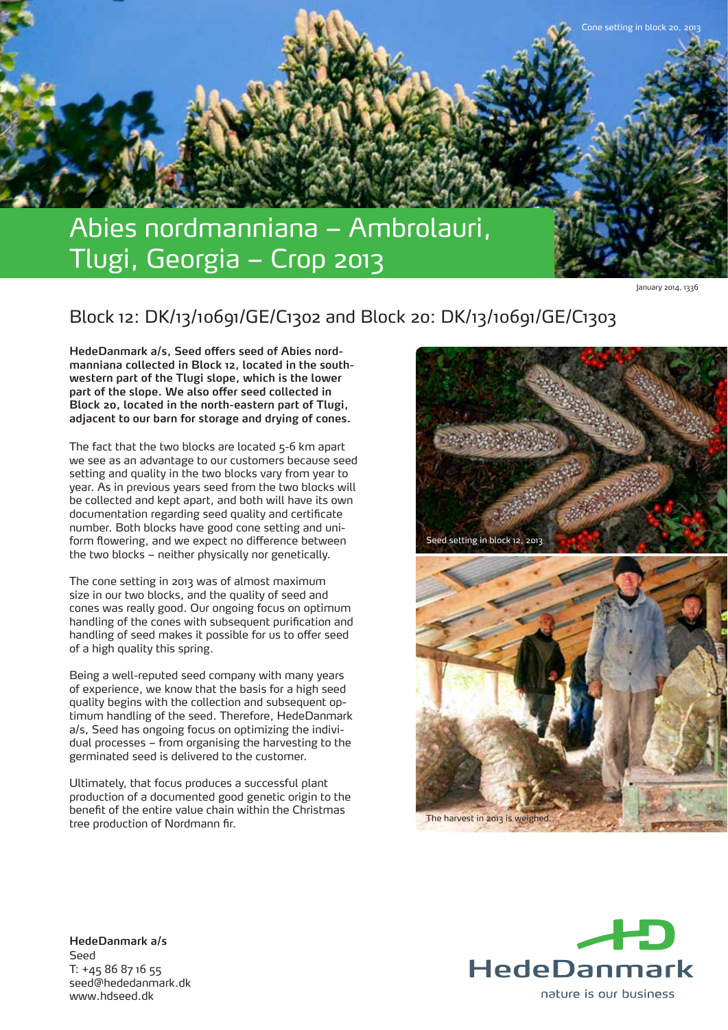

January 2014, 1336

## Block 12: DK/13/10691/GE/C1302 and Block 20: DK/13/10691/GE/C1303

**HedeDanmark a/s, Seed offers seed of Abies nordmanniana collected in Block 12, located in the southwestern part of the Tlugi slope, which is the lower part of the slope. We also offer seed collected in Block 20, located in the north-eastern part of Tlugi, adjacent to our barn for storage and drying of cones.**

The fact that the two blocks are located 5-6 km apart we see as an advantage to our customers because seed setting and quality in the two blocks vary from year to year. As in previous years seed from the two blocks will be collected and kept apart, and both will have its own documentation regarding seed quality and certificate number. Both blocks have good cone setting and uniform flowering, and we expect no difference between the two blocks – neither physically nor genetically.

The cone setting in 2013 was of almost maximum size in our two blocks, and the quality of seed and cones was really good. Our ongoing focus on optimum handling of the cones with subsequent purification and handling of seed makes it possible for us to offer seed of a high quality this spring.

Being a well-reputed seed company with many years of experience, we know that the basis for a high seed quality begins with the collection and subsequent optimum handling of the seed. Therefore, HedeDanmark a/s, Seed has ongoing focus on optimizing the individual processes – from organising the harvesting to the germinated seed is delivered to the customer.

Ultimately, that focus produces a successful plant production of a documented good genetic origin to the benefit of the entire value chain within the Christmas tree production of Nordmann fir.





**HedeDanmark a/s** Seed T: +45 86 87 16 55 seed@hededanmark.dk www.hdseed.dk